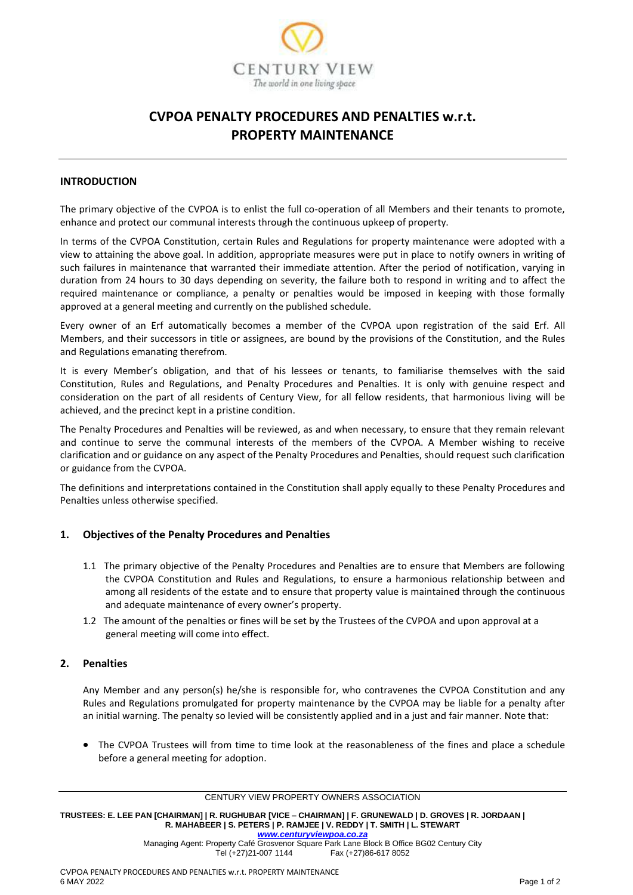

# **CVPOA PENALTY PROCEDURES AND PENALTIES w.r.t. PROPERTY MAINTENANCE**

#### **INTRODUCTION**

The primary objective of the CVPOA is to enlist the full co-operation of all Members and their tenants to promote, enhance and protect our communal interests through the continuous upkeep of property.

In terms of the CVPOA Constitution, certain Rules and Regulations for property maintenance were adopted with a view to attaining the above goal. In addition, appropriate measures were put in place to notify owners in writing of such failures in maintenance that warranted their immediate attention. After the period of notification, varying in duration from 24 hours to 30 days depending on severity, the failure both to respond in writing and to affect the required maintenance or compliance, a penalty or penalties would be imposed in keeping with those formally approved at a general meeting and currently on the published schedule.

Every owner of an Erf automatically becomes a member of the CVPOA upon registration of the said Erf. All Members, and their successors in title or assignees, are bound by the provisions of the Constitution, and the Rules and Regulations emanating therefrom.

It is every Member's obligation, and that of his lessees or tenants, to familiarise themselves with the said Constitution, Rules and Regulations, and Penalty Procedures and Penalties. It is only with genuine respect and consideration on the part of all residents of Century View, for all fellow residents, that harmonious living will be achieved, and the precinct kept in a pristine condition.

The Penalty Procedures and Penalties will be reviewed, as and when necessary, to ensure that they remain relevant and continue to serve the communal interests of the members of the CVPOA. A Member wishing to receive clarification and or guidance on any aspect of the Penalty Procedures and Penalties, should request such clarification or guidance from the CVPOA.

The definitions and interpretations contained in the Constitution shall apply equally to these Penalty Procedures and Penalties unless otherwise specified.

#### **1. Objectives of the Penalty Procedures and Penalties**

- 1.1 The primary objective of the Penalty Procedures and Penalties are to ensure that Members are following the CVPOA Constitution and Rules and Regulations, to ensure a harmonious relationship between and among all residents of the estate and to ensure that property value is maintained through the continuous and adequate maintenance of every owner's property.
- 1.2 The amount of the penalties or fines will be set by the Trustees of the CVPOA and upon approval at a general meeting will come into effect.

#### **2. Penalties**

Any Member and any person(s) he/she is responsible for, who contravenes the CVPOA Constitution and any Rules and Regulations promulgated for property maintenance by the CVPOA may be liable for a penalty after an initial warning. The penalty so levied will be consistently applied and in a just and fair manner. Note that:

• The CVPOA Trustees will from time to time look at the reasonableness of the fines and place a schedule before a general meeting for adoption.

CENTURY VIEW PROPERTY OWNERS ASSOCIATION

**TRUSTEES: E. LEE PAN [CHAIRMAN] | R. RUGHUBAR [VICE – CHAIRMAN] | F. GRUNEWALD | D. GROVES | R. JORDAAN | R. MAHABEER | S. PETERS | P. RAMJEE | V. REDDY | T. SMITH | L. STEWART** *[www.centuryviewpoa.co.za](http://www.centuryviewpoa.co.za/)*